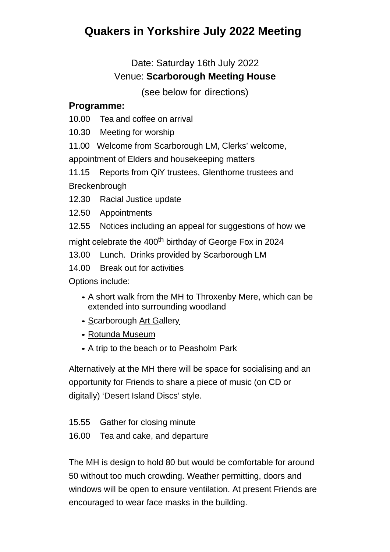## **Quakers in Yorkshire July 2022 Meeting**

## Date: Saturday 16th July 2022 Venue: **Scarborough Meeting House**

(see below for directions)

## **Programme:**

10.00 Tea and coffee on arrival

10.30 Meeting for worship

11.00 Welcome from Scarborough LM, Clerks' welcome,

appointment of Elders and housekeeping matters

11.15 Reports from QiY trustees, Glenthorne trustees and **Breckenbrough** 

- 12.30 Racial Justice update
- 12.50 Appointments
- 12.55 Notices including an appeal for suggestions of how we

might celebrate the 400<sup>th</sup> birthday of George Fox in 2024

13.00 Lunch. Drinks provided by Scarborough LM

14.00 Break out for activities

Options include:

- A short walk from the MH to Throxenby Mere, which can be extended into surrounding woodland
- Scarborough Art Gallery
- Rotunda Museum
- A trip to the beach or to Peasholm Park

Alternatively at the MH there will be space for socialising and an opportunity for Friends to share a piece of music (on CD or digitally) 'Desert Island Discs' style.

- 15.55 Gather for closing minute
- 16.00 Tea and cake, and departure

The MH is design to hold 80 but would be comfortable for around 50 without too much crowding. Weather permitting, doors and windows will be open to ensure ventilation. At present Friends are encouraged to wear face masks in the building.